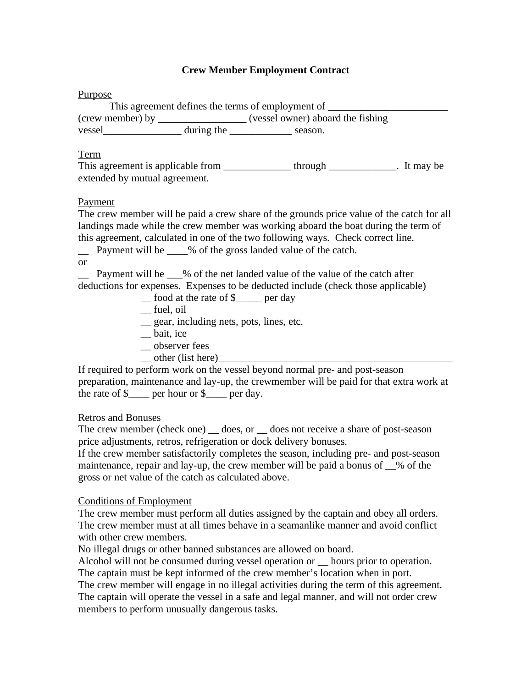# **Crew Member Employment Contract**

#### **Purpose**

This agreement defines the terms of employment of \_\_\_\_\_\_\_\_\_\_\_\_\_\_\_\_\_\_\_\_\_\_\_\_\_\_\_\_\_\_\_ (crew member) by \_\_\_\_\_\_\_\_\_\_\_\_\_\_\_\_\_ (vessel owner) aboard the fishing vessel during the \_\_\_\_\_\_\_\_\_\_\_\_ season.

### Term

This agreement is applicable from \_\_\_\_\_\_\_\_\_\_\_\_\_\_\_\_ through \_\_\_\_\_\_\_\_\_\_\_\_\_. It may be extended by mutual agreement.

## Payment

The crew member will be paid a crew share of the grounds price value of the catch for all landings made while the crew member was working aboard the boat during the term of this agreement, calculated in one of the two following ways. Check correct line.

\_\_ Payment will be \_\_\_\_% of the gross landed value of the catch.

or

Payment will be  $\%$  of the net landed value of the value of the catch after deductions for expenses. Expenses to be deducted include (check those applicable)

- \_\_ food at the rate of \$\_\_\_\_\_ per day
- \_\_ fuel, oil
- \_\_ gear, including nets, pots, lines, etc.
- \_\_ bait, ice
- \_\_ observer fees
- $\rightharpoonup$  other (list here)

If required to perform work on the vessel beyond normal pre- and post-season preparation, maintenance and lay-up, the crewmember will be paid for that extra work at the rate of  $\$\$  per hour or  $\$\$  per day.

## Retros and Bonuses

The crew member (check one) \_ does, or \_ does not receive a share of post-season price adjustments, retros, refrigeration or dock delivery bonuses.

If the crew member satisfactorily completes the season, including pre- and post-season maintenance, repair and lay-up, the crew member will be paid a bonus of \_\_% of the gross or net value of the catch as calculated above.

## Conditions of Employment

The crew member must perform all duties assigned by the captain and obey all orders. The crew member must at all times behave in a seamanlike manner and avoid conflict with other crew members.

No illegal drugs or other banned substances are allowed on board.

Alcohol will not be consumed during vessel operation or \_\_ hours prior to operation. The captain must be kept informed of the crew member's location when in port.

The crew member will engage in no illegal activities during the term of this agreement. The captain will operate the vessel in a safe and legal manner, and will not order crew members to perform unusually dangerous tasks.